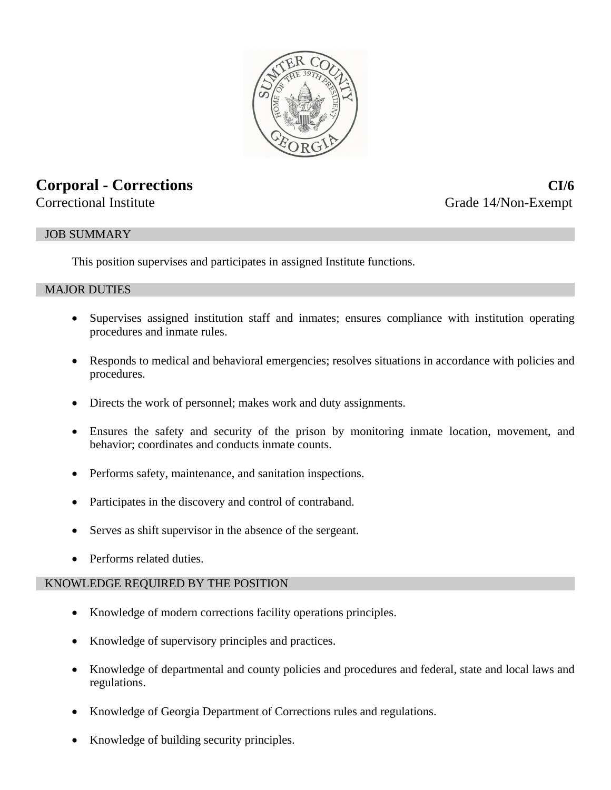

# **Corporal - Corrections CI/6**

Correctional Institute Grade 14/Non-Exempt

# JOB SUMMARY

This position supervises and participates in assigned Institute functions.

#### MAJOR DUTIES

- Supervises assigned institution staff and inmates; ensures compliance with institution operating procedures and inmate rules.
- Responds to medical and behavioral emergencies; resolves situations in accordance with policies and procedures.
- Directs the work of personnel; makes work and duty assignments.
- Ensures the safety and security of the prison by monitoring inmate location, movement, and behavior; coordinates and conducts inmate counts.
- Performs safety, maintenance, and sanitation inspections.
- Participates in the discovery and control of contraband.
- Serves as shift supervisor in the absence of the sergeant.
- Performs related duties.

# KNOWLEDGE REQUIRED BY THE POSITION

- Knowledge of modern corrections facility operations principles.
- Knowledge of supervisory principles and practices.
- Knowledge of departmental and county policies and procedures and federal, state and local laws and regulations.
- Knowledge of Georgia Department of Corrections rules and regulations.
- Knowledge of building security principles.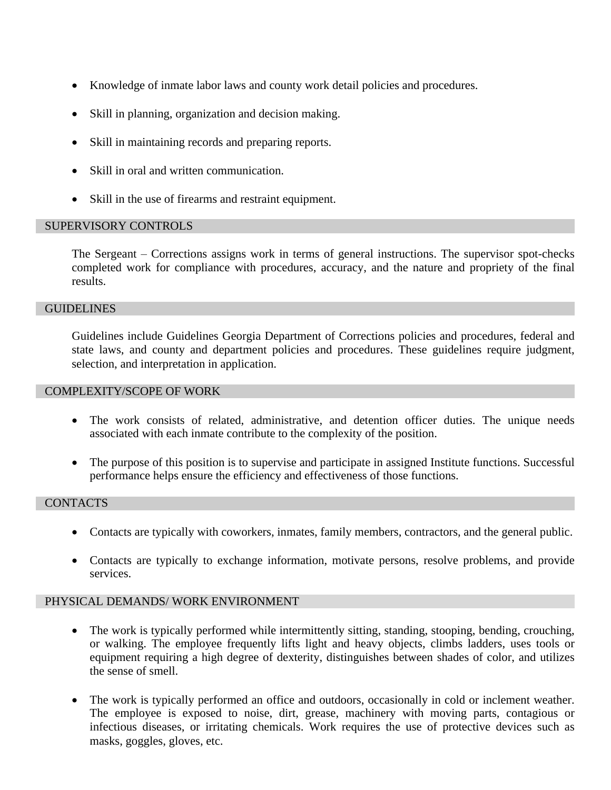- Knowledge of inmate labor laws and county work detail policies and procedures.
- Skill in planning, organization and decision making.
- Skill in maintaining records and preparing reports.
- Skill in oral and written communication.
- Skill in the use of firearms and restraint equipment.

# SUPERVISORY CONTROLS

The Sergeant – Corrections assigns work in terms of general instructions. The supervisor spot-checks completed work for compliance with procedures, accuracy, and the nature and propriety of the final results.

#### **GUIDELINES**

Guidelines include Guidelines Georgia Department of Corrections policies and procedures, federal and state laws, and county and department policies and procedures. These guidelines require judgment, selection, and interpretation in application.

#### COMPLEXITY/SCOPE OF WORK

- The work consists of related, administrative, and detention officer duties. The unique needs associated with each inmate contribute to the complexity of the position.
- The purpose of this position is to supervise and participate in assigned Institute functions. Successful performance helps ensure the efficiency and effectiveness of those functions.

# **CONTACTS**

- Contacts are typically with coworkers, inmates, family members, contractors, and the general public.
- Contacts are typically to exchange information, motivate persons, resolve problems, and provide services.

# PHYSICAL DEMANDS/ WORK ENVIRONMENT

- The work is typically performed while intermittently sitting, standing, stooping, bending, crouching, or walking. The employee frequently lifts light and heavy objects, climbs ladders, uses tools or equipment requiring a high degree of dexterity, distinguishes between shades of color, and utilizes the sense of smell.
- The work is typically performed an office and outdoors, occasionally in cold or inclement weather. The employee is exposed to noise, dirt, grease, machinery with moving parts, contagious or infectious diseases, or irritating chemicals. Work requires the use of protective devices such as masks, goggles, gloves, etc.